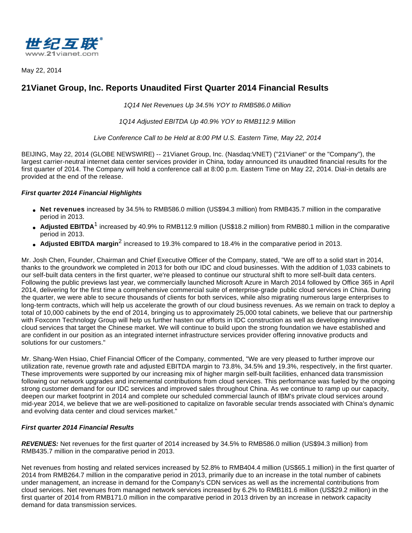

May 22, 2014

# **21Vianet Group, Inc. Reports Unaudited First Quarter 2014 Financial Results**

1Q14 Net Revenues Up 34.5% YOY to RMB586.0 Million

1Q14 Adjusted EBITDA Up 40.9% YOY to RMB112.9 Million

Live Conference Call to be Held at 8:00 PM U.S. Eastern Time, May 22, 2014

BEIJING, May 22, 2014 (GLOBE NEWSWIRE) -- 21Vianet Group, Inc. (Nasdaq:VNET) ("21Vianet" or the "Company"), the largest carrier-neutral internet data center services provider in China, today announced its unaudited financial results for the first quarter of 2014. The Company will hold a conference call at 8:00 p.m. Eastern Time on May 22, 2014. Dial-in details are provided at the end of the release.

# **First quarter 2014 Financial Highlights**

- **Net revenues** increased by 34.5% to RMB586.0 million (US\$94.3 million) from RMB435.7 million in the comparative period in 2013.
- Adjusted EBITDA<sup>1</sup> increased by 40.9% to RMB112.9 million (US\$18.2 million) from RMB80.1 million in the comparative period in 2013.
- **Adjusted EBITDA margin<sup>2</sup> increased to 19.3% compared to 18.4% in the comparative period in 2013.**

Mr. Josh Chen, Founder, Chairman and Chief Executive Officer of the Company, stated, "We are off to a solid start in 2014, thanks to the groundwork we completed in 2013 for both our IDC and cloud businesses. With the addition of 1,033 cabinets to our self-built data centers in the first quarter, we're pleased to continue our structural shift to more self-built data centers. Following the public previews last year, we commercially launched Microsoft Azure in March 2014 followed by Office 365 in April 2014, delivering for the first time a comprehensive commercial suite of enterprise-grade public cloud services in China. During the quarter, we were able to secure thousands of clients for both services, while also migrating numerous large enterprises to long-term contracts, which will help us accelerate the growth of our cloud business revenues. As we remain on track to deploy a total of 10,000 cabinets by the end of 2014, bringing us to approximately 25,000 total cabinets, we believe that our partnership with Foxconn Technology Group will help us further hasten our efforts in IDC construction as well as developing innovative cloud services that target the Chinese market. We will continue to build upon the strong foundation we have established and are confident in our position as an integrated internet infrastructure services provider offering innovative products and solutions for our customers."

Mr. Shang-Wen Hsiao, Chief Financial Officer of the Company, commented, "We are very pleased to further improve our utilization rate, revenue growth rate and adjusted EBITDA margin to 73.8%, 34.5% and 19.3%, respectively, in the first quarter. These improvements were supported by our increasing mix of higher margin self-built facilities, enhanced data transmission following our network upgrades and incremental contributions from cloud services. This performance was fueled by the ongoing strong customer demand for our IDC services and improved sales throughout China. As we continue to ramp up our capacity, deepen our market footprint in 2014 and complete our scheduled commercial launch of IBM's private cloud services around mid-year 2014, we believe that we are well-positioned to capitalize on favorable secular trends associated with China's dynamic and evolving data center and cloud services market."

# **First quarter 2014 Financial Results**

**REVENUES:** Net revenues for the first quarter of 2014 increased by 34.5% to RMB586.0 million (US\$94.3 million) from RMB435.7 million in the comparative period in 2013.

Net revenues from hosting and related services increased by 52.8% to RMB404.4 million (US\$65.1 million) in the first quarter of 2014 from RMB264.7 million in the comparative period in 2013, primarily due to an increase in the total number of cabinets under management, an increase in demand for the Company's CDN services as well as the incremental contributions from cloud services. Net revenues from managed network services increased by 6.2% to RMB181.6 million (US\$29.2 million) in the first quarter of 2014 from RMB171.0 million in the comparative period in 2013 driven by an increase in network capacity demand for data transmission services.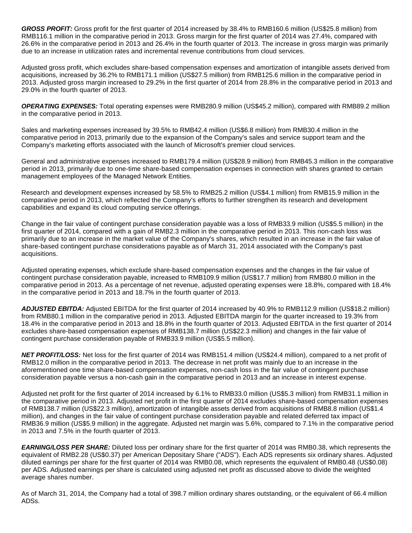**GROSS PROFIT:** Gross profit for the first quarter of 2014 increased by 38.4% to RMB160.6 million (US\$25.8 million) from RMB116.1 million in the comparative period in 2013. Gross margin for the first quarter of 2014 was 27.4%, compared with 26.6% in the comparative period in 2013 and 26.4% in the fourth quarter of 2013. The increase in gross margin was primarily due to an increase in utilization rates and incremental revenue contributions from cloud services.

Adjusted gross profit, which excludes share-based compensation expenses and amortization of intangible assets derived from acquisitions, increased by 36.2% to RMB171.1 million (US\$27.5 million) from RMB125.6 million in the comparative period in 2013. Adjusted gross margin increased to 29.2% in the first quarter of 2014 from 28.8% in the comparative period in 2013 and 29.0% in the fourth quarter of 2013.

**OPERATING EXPENSES:** Total operating expenses were RMB280.9 million (US\$45.2 million), compared with RMB89.2 million in the comparative period in 2013.

Sales and marketing expenses increased by 39.5% to RMB42.4 million (US\$6.8 million) from RMB30.4 million in the comparative period in 2013, primarily due to the expansion of the Company's sales and service support team and the Company's marketing efforts associated with the launch of Microsoft's premier cloud services.

General and administrative expenses increased to RMB179.4 million (US\$28.9 million) from RMB45.3 million in the comparative period in 2013, primarily due to one-time share-based compensation expenses in connection with shares granted to certain management employees of the Managed Network Entities.

Research and development expenses increased by 58.5% to RMB25.2 million (US\$4.1 million) from RMB15.9 million in the comparative period in 2013, which reflected the Company's efforts to further strengthen its research and development capabilities and expand its cloud computing service offerings.

Change in the fair value of contingent purchase consideration payable was a loss of RMB33.9 million (US\$5.5 million) in the first quarter of 2014, compared with a gain of RMB2.3 million in the comparative period in 2013. This non-cash loss was primarily due to an increase in the market value of the Company's shares, which resulted in an increase in the fair value of share-based contingent purchase considerations payable as of March 31, 2014 associated with the Company's past acquisitions.

Adjusted operating expenses, which exclude share-based compensation expenses and the changes in the fair value of contingent purchase consideration payable, increased to RMB109.9 million (US\$17.7 million) from RMB80.0 million in the comparative period in 2013. As a percentage of net revenue, adjusted operating expenses were 18.8%, compared with 18.4% in the comparative period in 2013 and 18.7% in the fourth quarter of 2013.

**ADJUSTED EBITDA:** Adjusted EBITDA for the first quarter of 2014 increased by 40.9% to RMB112.9 million (US\$18.2 million) from RMB80.1 million in the comparative period in 2013. Adjusted EBITDA margin for the quarter increased to 19.3% from 18.4% in the comparative period in 2013 and 18.8% in the fourth quarter of 2013. Adjusted EBITDA in the first quarter of 2014 excludes share-based compensation expenses of RMB138.7 million (US\$22.3 million) and changes in the fair value of contingent purchase consideration payable of RMB33.9 million (US\$5.5 million).

NET PROFIT/LOSS: Net loss for the first quarter of 2014 was RMB151.4 million (US\$24.4 million), compared to a net profit of RMB12.0 million in the comparative period in 2013. The decrease in net profit was mainly due to an increase in the aforementioned one time share-based compensation expenses, non-cash loss in the fair value of contingent purchase consideration payable versus a non-cash gain in the comparative period in 2013 and an increase in interest expense.

Adjusted net profit for the first quarter of 2014 increased by 6.1% to RMB33.0 million (US\$5.3 million) from RMB31.1 million in the comparative period in 2013. Adjusted net profit in the first quarter of 2014 excludes share-based compensation expenses of RMB138.7 million (US\$22.3 million), amortization of intangible assets derived from acquisitions of RMB8.8 million (US\$1.4 million), and changes in the fair value of contingent purchase consideration payable and related deferred tax impact of RMB36.9 million (US\$5.9 million) in the aggregate. Adjusted net margin was 5.6%, compared to 7.1% in the comparative period in 2013 and 7.5% in the fourth quarter of 2013.

**EARNING/LOSS PER SHARE:** Diluted loss per ordinary share for the first quarter of 2014 was RMB0.38, which represents the equivalent of RMB2.28 (US\$0.37) per American Depositary Share ("ADS"). Each ADS represents six ordinary shares. Adjusted diluted earnings per share for the first quarter of 2014 was RMB0.08, which represents the equivalent of RMB0.48 (US\$0.08) per ADS. Adjusted earnings per share is calculated using adjusted net profit as discussed above to divide the weighted average shares number.

As of March 31, 2014, the Company had a total of 398.7 million ordinary shares outstanding, or the equivalent of 66.4 million ADSs.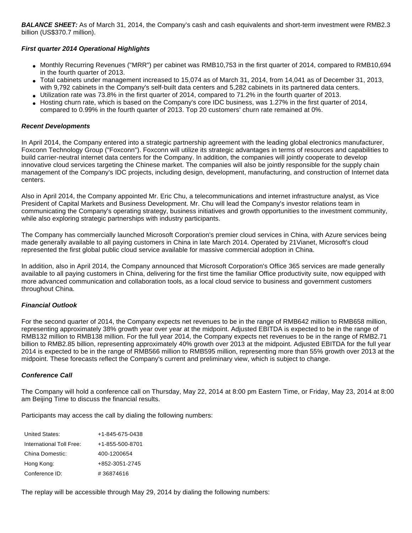**BALANCE SHEET:** As of March 31, 2014, the Company's cash and cash equivalents and short-term investment were RMB2.3 billion (US\$370.7 million).

#### **First quarter 2014 Operational Highlights**

- Monthly Recurring Revenues ("MRR") per cabinet was RMB10,753 in the first quarter of 2014, compared to RMB10,694 in the fourth quarter of 2013.
- Total cabinets under management increased to 15,074 as of March 31, 2014, from 14,041 as of December 31, 2013, with 9,792 cabinets in the Company's self-built data centers and 5,282 cabinets in its partnered data centers.
- Utilization rate was 73.8% in the first quarter of 2014, compared to 71.2% in the fourth quarter of 2013.
- Hosting churn rate, which is based on the Company's core IDC business, was 1.27% in the first quarter of 2014, compared to 0.99% in the fourth quarter of 2013. Top 20 customers' churn rate remained at 0%.

#### **Recent Developments**

In April 2014, the Company entered into a strategic partnership agreement with the leading global electronics manufacturer, Foxconn Technology Group ("Foxconn"). Foxconn will utilize its strategic advantages in terms of resources and capabilities to build carrier-neutral internet data centers for the Company. In addition, the companies will jointly cooperate to develop innovative cloud services targeting the Chinese market. The companies will also be jointly responsible for the supply chain management of the Company's IDC projects, including design, development, manufacturing, and construction of Internet data centers.

Also in April 2014, the Company appointed Mr. Eric Chu, a telecommunications and internet infrastructure analyst, as Vice President of Capital Markets and Business Development. Mr. Chu will lead the Company's investor relations team in communicating the Company's operating strategy, business initiatives and growth opportunities to the investment community, while also exploring strategic partnerships with industry participants.

The Company has commercially launched Microsoft Corporation's premier cloud services in China, with Azure services being made generally available to all paying customers in China in late March 2014. Operated by 21Vianet, Microsoft's cloud represented the first global public cloud service available for massive commercial adoption in China.

In addition, also in April 2014, the Company announced that Microsoft Corporation's Office 365 services are made generally available to all paying customers in China, delivering for the first time the familiar Office productivity suite, now equipped with more advanced communication and collaboration tools, as a local cloud service to business and government customers throughout China.

#### **Financial Outlook**

For the second quarter of 2014, the Company expects net revenues to be in the range of RMB642 million to RMB658 million, representing approximately 38% growth year over year at the midpoint. Adjusted EBITDA is expected to be in the range of RMB132 million to RMB138 million. For the full year 2014, the Company expects net revenues to be in the range of RMB2.71 billion to RMB2.85 billion, representing approximately 40% growth over 2013 at the midpoint. Adjusted EBITDA for the full year 2014 is expected to be in the range of RMB566 million to RMB595 million, representing more than 55% growth over 2013 at the midpoint. These forecasts reflect the Company's current and preliminary view, which is subject to change.

#### **Conference Call**

The Company will hold a conference call on Thursday, May 22, 2014 at 8:00 pm Eastern Time, or Friday, May 23, 2014 at 8:00 am Beijing Time to discuss the financial results.

Participants may access the call by dialing the following numbers:

| United States:           | $+1 - 845 - 675 - 0438$ |
|--------------------------|-------------------------|
| International Toll Free: | +1-855-500-8701         |
| China Domestic:          | 400-1200654             |
| Hong Kong:               | +852-3051-2745          |
| Conference ID:           | #36874616               |

The replay will be accessible through May 29, 2014 by dialing the following numbers: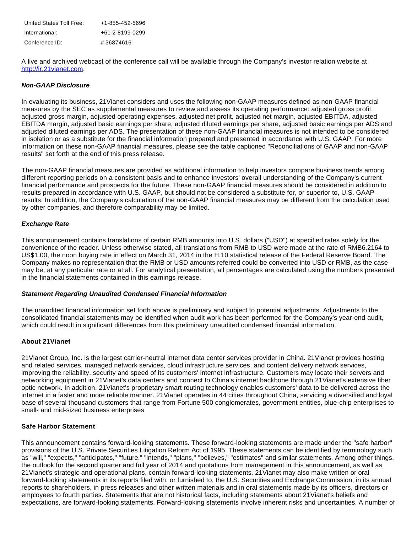| United States Toll Free: | +1-855-452-5696 |
|--------------------------|-----------------|
| International:           | +61-2-8199-0299 |
| Conference ID:           | #36874616       |

A live and archived webcast of the conference call will be available through the Company's investor relation website at [http://ir.21vianet.com.](http://www.globenewswire.com/newsroom/ctr?d=10082897&l=37&a=http%3A%2F%2Fir.21vianet.com&u=http%3A%2F%2Fir.21vianet.com%2F)

#### **Non-GAAP Disclosure**

In evaluating its business, 21Vianet considers and uses the following non-GAAP measures defined as non-GAAP financial measures by the SEC as supplemental measures to review and assess its operating performance: adjusted gross profit, adjusted gross margin, adjusted operating expenses, adjusted net profit, adjusted net margin, adjusted EBITDA, adjusted EBITDA margin, adjusted basic earnings per share, adjusted diluted earnings per share, adjusted basic earnings per ADS and adjusted diluted earnings per ADS. The presentation of these non-GAAP financial measures is not intended to be considered in isolation or as a substitute for the financial information prepared and presented in accordance with U.S. GAAP. For more information on these non-GAAP financial measures, please see the table captioned "Reconciliations of GAAP and non-GAAP results" set forth at the end of this press release.

The non-GAAP financial measures are provided as additional information to help investors compare business trends among different reporting periods on a consistent basis and to enhance investors' overall understanding of the Company's current financial performance and prospects for the future. These non-GAAP financial measures should be considered in addition to results prepared in accordance with U.S. GAAP, but should not be considered a substitute for, or superior to, U.S. GAAP results. In addition, the Company's calculation of the non-GAAP financial measures may be different from the calculation used by other companies, and therefore comparability may be limited.

#### **Exchange Rate**

This announcement contains translations of certain RMB amounts into U.S. dollars ("USD") at specified rates solely for the convenience of the reader. Unless otherwise stated, all translations from RMB to USD were made at the rate of RMB6.2164 to US\$1.00, the noon buying rate in effect on March 31, 2014 in the H.10 statistical release of the Federal Reserve Board. The Company makes no representation that the RMB or USD amounts referred could be converted into USD or RMB, as the case may be, at any particular rate or at all. For analytical presentation, all percentages are calculated using the numbers presented in the financial statements contained in this earnings release.

#### **Statement Regarding Unaudited Condensed Financial Information**

The unaudited financial information set forth above is preliminary and subject to potential adjustments. Adjustments to the consolidated financial statements may be identified when audit work has been performed for the Company's year-end audit, which could result in significant differences from this preliminary unaudited condensed financial information.

#### **About 21Vianet**

21Vianet Group, Inc. is the largest carrier-neutral internet data center services provider in China. 21Vianet provides hosting and related services, managed network services, cloud infrastructure services, and content delivery network services, improving the reliability, security and speed of its customers' internet infrastructure. Customers may locate their servers and networking equipment in 21Vianet's data centers and connect to China's internet backbone through 21Vianet's extensive fiber optic network. In addition, 21Vianet's proprietary smart routing technology enables customers' data to be delivered across the internet in a faster and more reliable manner. 21Vianet operates in 44 cities throughout China, servicing a diversified and loyal base of several thousand customers that range from Fortune 500 conglomerates, government entities, blue-chip enterprises to small- and mid-sized business enterprises

#### **Safe Harbor Statement**

This announcement contains forward-looking statements. These forward-looking statements are made under the "safe harbor" provisions of the U.S. Private Securities Litigation Reform Act of 1995. These statements can be identified by terminology such as "will," "expects," "anticipates," "future," "intends," "plans," "believes," "estimates" and similar statements. Among other things, the outlook for the second quarter and full year of 2014 and quotations from management in this announcement, as well as 21Vianet's strategic and operational plans, contain forward-looking statements. 21Vianet may also make written or oral forward-looking statements in its reports filed with, or furnished to, the U.S. Securities and Exchange Commission, in its annual reports to shareholders, in press releases and other written materials and in oral statements made by its officers, directors or employees to fourth parties. Statements that are not historical facts, including statements about 21Vianet's beliefs and expectations, are forward-looking statements. Forward-looking statements involve inherent risks and uncertainties. A number of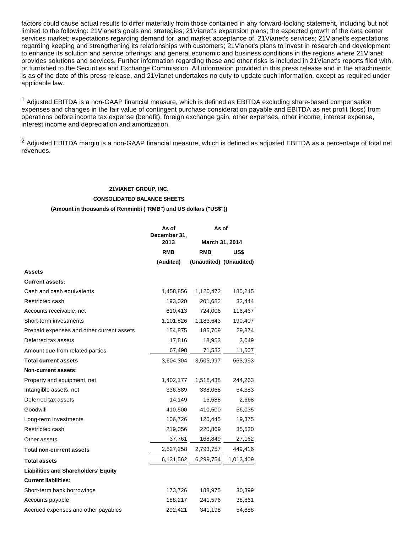factors could cause actual results to differ materially from those contained in any forward-looking statement, including but not limited to the following: 21Vianet's goals and strategies; 21Vianet's expansion plans; the expected growth of the data center services market; expectations regarding demand for, and market acceptance of, 21Vianet's services; 21Vianet's expectations regarding keeping and strengthening its relationships with customers; 21Vianet's plans to invest in research and development to enhance its solution and service offerings; and general economic and business conditions in the regions where 21Vianet provides solutions and services. Further information regarding these and other risks is included in 21Vianet's reports filed with, or furnished to the Securities and Exchange Commission. All information provided in this press release and in the attachments is as of the date of this press release, and 21Vianet undertakes no duty to update such information, except as required under applicable law.

<sup>1</sup> Adjusted EBITDA is a non-GAAP financial measure, which is defined as EBITDA excluding share-based compensation expenses and changes in the fair value of contingent purchase consideration payable and EBITDA as net profit (loss) from operations before income tax expense (benefit), foreign exchange gain, other expenses, other income, interest expense, interest income and depreciation and amortization.

<sup>2</sup> Adjusted EBITDA margin is a non-GAAP financial measure, which is defined as adjusted EBITDA as a percentage of total net revenues.

# **21VIANET GROUP, INC. CONSOLIDATED BALANCE SHEETS (Amount in thousands of Renminbi ("RMB") and US dollars ("US\$"))**

|                                             | As of<br>December 31, | As of          |                         |  |
|---------------------------------------------|-----------------------|----------------|-------------------------|--|
|                                             | 2013                  | March 31, 2014 |                         |  |
|                                             | RMB                   | <b>RMB</b>     | US\$                    |  |
|                                             | (Audited)             |                | (Unaudited) (Unaudited) |  |
| <b>Assets</b>                               |                       |                |                         |  |
| <b>Current assets:</b>                      |                       |                |                         |  |
| Cash and cash equivalents                   | 1,458,856             | 1,120,472      | 180,245                 |  |
| Restricted cash                             | 193,020               | 201,682        | 32,444                  |  |
| Accounts receivable, net                    | 610,413               | 724,006        | 116,467                 |  |
| Short-term investments                      | 1,101,826             | 1,183,643      | 190,407                 |  |
| Prepaid expenses and other current assets   | 154,875               | 185,709        | 29,874                  |  |
| Deferred tax assets                         | 17,816                | 18,953         | 3,049                   |  |
| Amount due from related parties             | 67,498                | 71,532         | 11,507                  |  |
| <b>Total current assets</b>                 | 3,604,304             | 3,505,997      | 563,993                 |  |
| Non-current assets:                         |                       |                |                         |  |
| Property and equipment, net                 | 1,402,177             | 1,518,438      | 244,263                 |  |
| Intangible assets, net                      | 336,889               | 338,068        | 54,383                  |  |
| Deferred tax assets                         | 14,149                | 16,588         | 2,668                   |  |
| Goodwill                                    | 410,500               | 410,500        | 66,035                  |  |
| Long-term investments                       | 106,726               | 120,445        | 19,375                  |  |
| Restricted cash                             | 219,056               | 220,869        | 35,530                  |  |
| Other assets                                | 37,761                | 168,849        | 27,162                  |  |
| <b>Total non-current assets</b>             | 2,527,258             | 2,793,757      | 449,416                 |  |
| <b>Total assets</b>                         | 6,131,562             | 6,299,754      | 1,013,409               |  |
| <b>Liabilities and Shareholders' Equity</b> |                       |                |                         |  |
| <b>Current liabilities:</b>                 |                       |                |                         |  |
| Short-term bank borrowings                  | 173,726               | 188,975        | 30,399                  |  |
| Accounts payable                            | 188,217               | 241,576        | 38,861                  |  |
| Accrued expenses and other payables         | 292,421               | 341,198        | 54,888                  |  |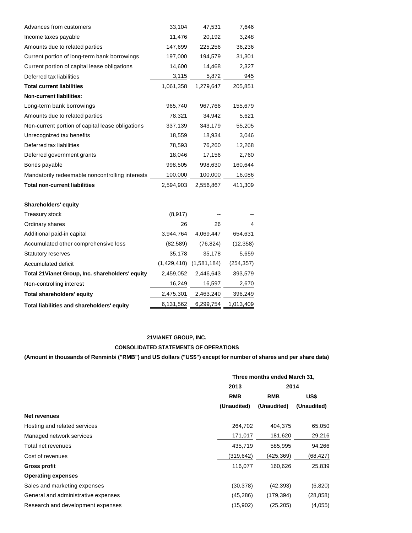| Advances from customers                          | 33,104      | 47,531      | 7,646      |
|--------------------------------------------------|-------------|-------------|------------|
| Income taxes payable                             | 11,476      | 20,192      | 3,248      |
| Amounts due to related parties                   | 147,699     | 225,256     | 36,236     |
| Current portion of long-term bank borrowings     | 197,000     | 194,579     | 31,301     |
| Current portion of capital lease obligations     | 14,600      | 14,468      | 2,327      |
| Deferred tax liabilities                         | 3,115       | 5,872       | 945        |
| <b>Total current liabilities</b>                 | 1,061,358   | 1,279,647   | 205,851    |
| <b>Non-current liabilities:</b>                  |             |             |            |
| Long-term bank borrowings                        | 965,740     | 967,766     | 155,679    |
| Amounts due to related parties                   | 78,321      | 34,942      | 5,621      |
| Non-current portion of capital lease obligations | 337,139     | 343,179     | 55,205     |
| Unrecognized tax benefits                        | 18,559      | 18,934      | 3,046      |
| Deferred tax liabilities                         | 78,593      | 76,260      | 12,268     |
| Deferred government grants                       | 18,046      | 17,156      | 2,760      |
| Bonds payable                                    | 998,505     | 998,630     | 160,644    |
| Mandatorily redeemable noncontrolling interests  | 100,000     | 100,000     | 16,086     |
| <b>Total non-current liabilities</b>             | 2,594,903   | 2,556,867   | 411,309    |
| <b>Shareholders' equity</b>                      |             |             |            |
| <b>Treasury stock</b>                            | (8, 917)    |             |            |
| Ordinary shares                                  | 26          | 26          | 4          |
| Additional paid-in capital                       | 3,944,764   | 4,069,447   | 654,631    |
| Accumulated other comprehensive loss             | (82, 589)   | (76, 824)   | (12, 358)  |
| <b>Statutory reserves</b>                        | 35,178      | 35,178      | 5,659      |
| Accumulated deficit                              | (1,429,410) | (1,581,184) | (254, 357) |
| Total 21 Vianet Group, Inc. shareholders' equity | 2,459,052   | 2,446,643   | 393,579    |
| Non-controlling interest                         | 16,249      | 16,597      | 2,670      |
| <b>Total shareholders' equity</b>                | 2,475,301   | 2,463,240   | 396,249    |
| Total liabilities and shareholders' equity       | 6,131,562   | 6,299,754   | 1,013,409  |

# **21VIANET GROUP, INC. CONSOLIDATED STATEMENTS OF OPERATIONS**

**(Amount in thousands of Renminbi ("RMB") and US dollars ("US\$") except for number of shares and per share data)**

|                                     |             | Three months ended March 31, |             |  |
|-------------------------------------|-------------|------------------------------|-------------|--|
|                                     | 2013        | 2014                         |             |  |
|                                     | <b>RMB</b>  | <b>RMB</b>                   | US\$        |  |
|                                     | (Unaudited) | (Unaudited)                  | (Unaudited) |  |
| Net revenues                        |             |                              |             |  |
| Hosting and related services        | 264,702     | 404,375                      | 65,050      |  |
| Managed network services            | 171,017     | 181,620                      | 29,216      |  |
| Total net revenues                  | 435,719     | 585,995                      | 94,266      |  |
| Cost of revenues                    | (319,642)   | (425,369)                    | (68,427)    |  |
| <b>Gross profit</b>                 | 116,077     | 160.626                      | 25,839      |  |
| <b>Operating expenses</b>           |             |                              |             |  |
| Sales and marketing expenses        | (30, 378)   | (42,393)                     | (6,820)     |  |
| General and administrative expenses | (45, 286)   | (179, 394)                   | (28, 858)   |  |
| Research and development expenses   | (15,902)    | (25,205)                     | (4,055)     |  |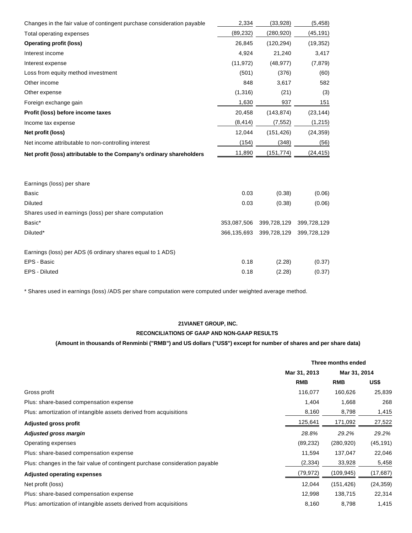| Changes in the fair value of contingent purchase consideration payable | 2,334       | (33,928)    | (5, 458)    |
|------------------------------------------------------------------------|-------------|-------------|-------------|
| Total operating expenses                                               | (89, 232)   | (280, 920)  | (45, 191)   |
| <b>Operating profit (loss)</b>                                         | 26,845      | (120, 294)  | (19, 352)   |
| Interest income                                                        | 4,924       | 21,240      | 3,417       |
| Interest expense                                                       | (11, 972)   | (48, 977)   | (7, 879)    |
| Loss from equity method investment                                     | (501)       | (376)       | (60)        |
| Other income                                                           | 848         | 3,617       | 582         |
| Other expense                                                          | (1, 316)    | (21)        | (3)         |
| Foreign exchange gain                                                  | 1,630       | 937         | 151         |
| Profit (loss) before income taxes                                      | 20,458      | (143, 874)  | (23, 144)   |
| Income tax expense                                                     | (8, 414)    | (7, 552)    | (1, 215)    |
| Net profit (loss)                                                      | 12,044      | (151, 426)  | (24, 359)   |
| Net income attributable to non-controlling interest                    | (154)       | (348)       | (56)        |
| Net profit (loss) attributable to the Company's ordinary shareholders  | 11,890      | (151, 774)  | (24, 415)   |
|                                                                        |             |             |             |
| Earnings (loss) per share                                              |             |             |             |
| <b>Basic</b>                                                           | 0.03        | (0.38)      | (0.06)      |
| <b>Diluted</b>                                                         | 0.03        | (0.38)      | (0.06)      |
| Shares used in earnings (loss) per share computation                   |             |             |             |
| Basic*                                                                 | 353,087,506 | 399,728,129 | 399,728,129 |
| Diluted*                                                               | 366,135,693 | 399,728,129 | 399,728,129 |
| Earnings (loss) per ADS (6 ordinary shares equal to 1 ADS)             |             |             |             |
| EPS - Basic                                                            | 0.18        | (2.28)      | (0.37)      |

\* Shares used in earnings (loss) /ADS per share computation were computed under weighted average method.

EPS - Diluted 0.18 (2.28) (0.37)

#### **21VIANET GROUP, INC.**

## **RECONCILIATIONS OF GAAP AND NON-GAAP RESULTS**

## **(Amount in thousands of Renminbi ("RMB") and US dollars ("US\$") except for number of shares and per share data)**

|                                                                              | Three months ended |              |           |
|------------------------------------------------------------------------------|--------------------|--------------|-----------|
|                                                                              | Mar 31, 2013       | Mar 31, 2014 |           |
|                                                                              | <b>RMB</b>         | <b>RMB</b>   | US\$      |
| Gross profit                                                                 | 116,077            | 160,626      | 25,839    |
| Plus: share-based compensation expense                                       | 1,404              | 1,668        | 268       |
| Plus: amortization of intangible assets derived from acquisitions            | 8,160              | 8,798        | 1,415     |
| Adjusted gross profit                                                        | 125,641            | 171,092      | 27,522    |
| Adjusted gross margin                                                        | 28.8%              | 29.2%        | 29.2%     |
| Operating expenses                                                           | (89, 232)          | (280, 920)   | (45, 191) |
| Plus: share-based compensation expense                                       | 11,594             | 137,047      | 22,046    |
| Plus: changes in the fair value of contingent purchase consideration payable | (2, 334)           | 33,928       | 5,458     |
| <b>Adjusted operating expenses</b>                                           | (79,972)           | (109, 945)   | (17, 687) |
| Net profit (loss)                                                            | 12,044             | (151, 426)   | (24, 359) |
| Plus: share-based compensation expense                                       | 12,998             | 138,715      | 22,314    |
| Plus: amortization of intangible assets derived from acquisitions            | 8,160              | 8,798        | 1,415     |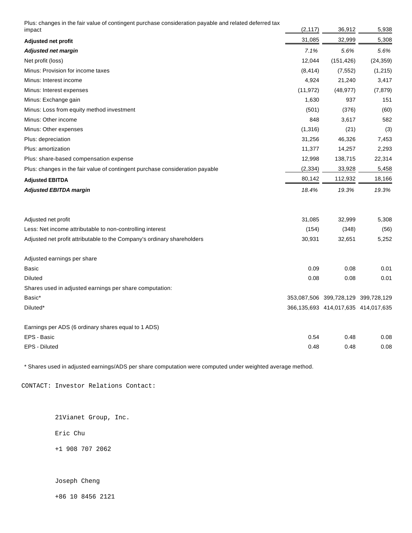Plus: changes in the fair value of contingent purchase consideration payable and related deferred tax

| impact                                                                       | (2, 117)  | 36,912                                    | 5,938     |
|------------------------------------------------------------------------------|-----------|-------------------------------------------|-----------|
| Adjusted net profit                                                          | 31,085    | 32,999                                    | 5,308     |
| <b>Adjusted net margin</b>                                                   | 7.1%      | 5.6%                                      | 5.6%      |
| Net profit (loss)                                                            | 12,044    | (151, 426)                                | (24, 359) |
| Minus: Provision for income taxes                                            | (8, 414)  | (7, 552)                                  | (1, 215)  |
| Minus: Interest income                                                       | 4,924     | 21,240                                    | 3,417     |
| Minus: Interest expenses                                                     | (11, 972) | (48, 977)                                 | (7, 879)  |
| Minus: Exchange gain                                                         | 1,630     | 937                                       | 151       |
| Minus: Loss from equity method investment                                    | (501)     | (376)                                     | (60)      |
| Minus: Other income                                                          | 848       | 3,617                                     | 582       |
| Minus: Other expenses                                                        | (1,316)   | (21)                                      | (3)       |
| Plus: depreciation                                                           | 31,256    | 46,326                                    | 7,453     |
| Plus: amortization                                                           | 11,377    | 14,257                                    | 2,293     |
| Plus: share-based compensation expense                                       | 12,998    | 138,715                                   | 22,314    |
| Plus: changes in the fair value of contingent purchase consideration payable | (2, 334)  | 33,928                                    | 5,458     |
| <b>Adjusted EBITDA</b>                                                       | 80,142    | 112,932                                   | 18,166    |
| <b>Adjusted EBITDA margin</b>                                                | 18.4%     | 19.3%                                     | 19.3%     |
| Adjusted net profit                                                          | 31,085    | 32,999                                    | 5,308     |
| Less: Net income attributable to non-controlling interest                    | (154)     | (348)                                     | (56)      |
| Adjusted net profit attributable to the Company's ordinary shareholders      | 30,931    | 32,651                                    | 5,252     |
| Adjusted earnings per share                                                  |           |                                           |           |
| <b>Basic</b>                                                                 | 0.09      | 0.08                                      | 0.01      |
| <b>Diluted</b>                                                               | 0.08      | 0.08                                      | 0.01      |
| Shares used in adjusted earnings per share computation:                      |           |                                           |           |
| Basic*                                                                       |           | 353,087,506 399,728,129 399,728,129       |           |
| Diluted*                                                                     |           | 366, 135, 693 414, 017, 635 414, 017, 635 |           |
| Earnings per ADS (6 ordinary shares equal to 1 ADS)                          |           |                                           |           |
| EPS - Basic                                                                  | 0.54      | 0.48                                      | 0.08      |
| EPS - Diluted                                                                | 0.48      | 0.48                                      | 0.08      |

\* Shares used in adjusted earnings/ADS per share computation were computed under weighted average method.

CONTACT: Investor Relations Contact:

21Vianet Group, Inc.

Eric Chu

+1 908 707 2062

Joseph Cheng

+86 10 8456 2121